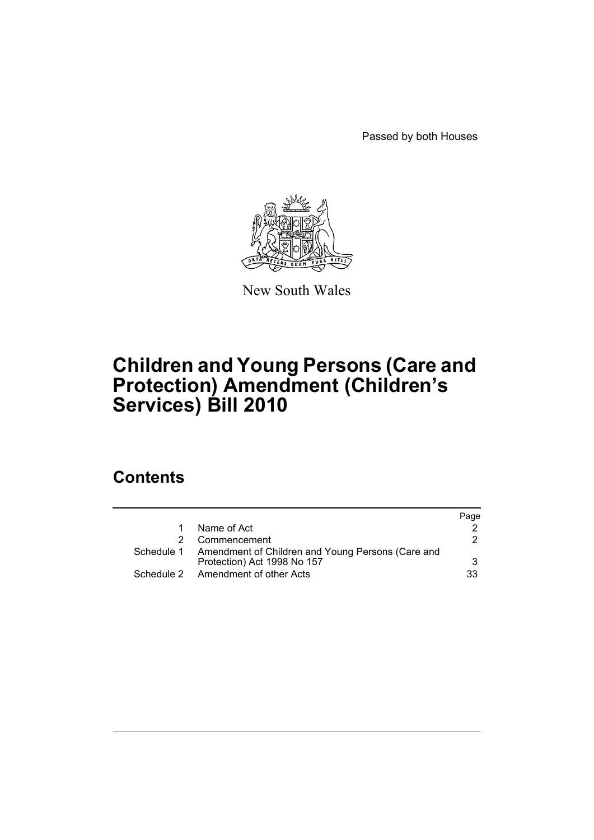Passed by both Houses



New South Wales

# **Children and Young Persons (Care and Protection) Amendment (Children's Services) Bill 2010**

# **Contents**

|                                                              | Page |
|--------------------------------------------------------------|------|
| Name of Act                                                  |      |
| Commencement                                                 | 2    |
| Schedule 1 Amendment of Children and Young Persons (Care and |      |
| Protection) Act 1998 No 157                                  | 3    |
| Schedule 2 Amendment of other Acts                           | 33   |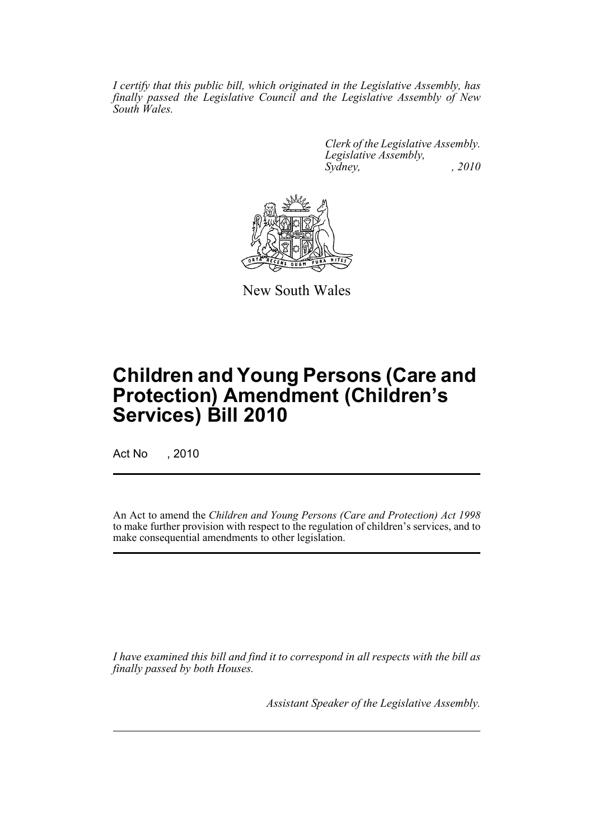*I certify that this public bill, which originated in the Legislative Assembly, has finally passed the Legislative Council and the Legislative Assembly of New South Wales.*

> *Clerk of the Legislative Assembly. Legislative Assembly, Sydney, , 2010*



New South Wales

# **Children and Young Persons (Care and Protection) Amendment (Children's Services) Bill 2010**

Act No , 2010

An Act to amend the *Children and Young Persons (Care and Protection) Act 1998* to make further provision with respect to the regulation of children's services, and to make consequential amendments to other legislation.

*I have examined this bill and find it to correspond in all respects with the bill as finally passed by both Houses.*

*Assistant Speaker of the Legislative Assembly.*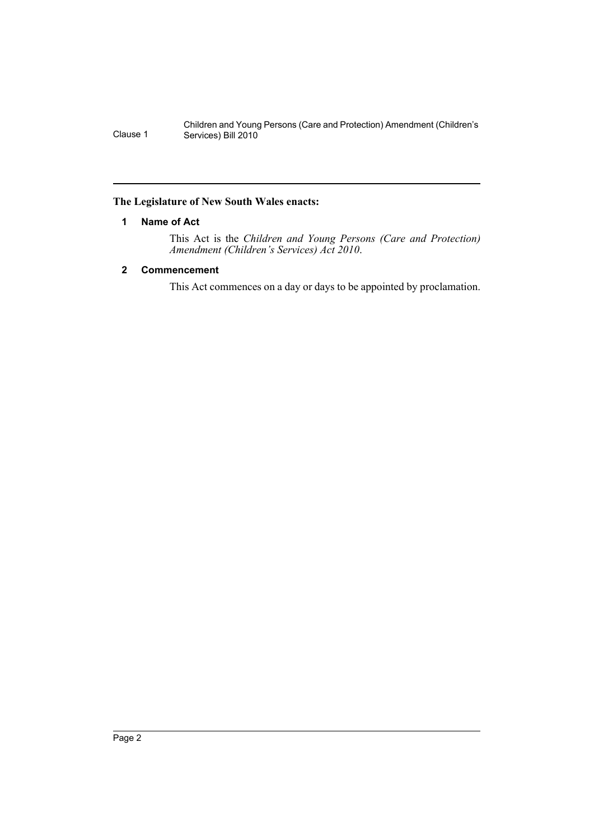# <span id="page-3-0"></span>**The Legislature of New South Wales enacts:**

# **1 Name of Act**

This Act is the *Children and Young Persons (Care and Protection) Amendment (Children's Services) Act 2010*.

# <span id="page-3-1"></span>**2 Commencement**

This Act commences on a day or days to be appointed by proclamation.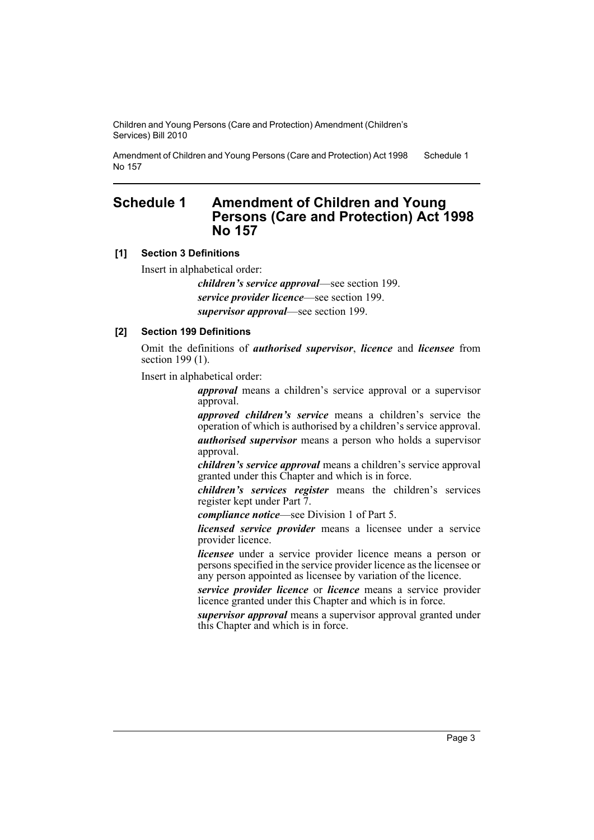Amendment of Children and Young Persons (Care and Protection) Act 1998 No 157 Schedule 1

# <span id="page-4-0"></span>**Schedule 1 Amendment of Children and Young Persons (Care and Protection) Act 1998 No 157**

# **[1] Section 3 Definitions**

Insert in alphabetical order:

*children's service approval*—see section 199. *service provider licence*—see section 199. *supervisor approval*—see section 199.

# **[2] Section 199 Definitions**

Omit the definitions of *authorised supervisor*, *licence* and *licensee* from section 199 (1).

Insert in alphabetical order:

*approval* means a children's service approval or a supervisor approval.

*approved children's service* means a children's service the operation of which is authorised by a children's service approval. *authorised supervisor* means a person who holds a supervisor approval.

*children's service approval* means a children's service approval granted under this Chapter and which is in force.

*children's services register* means the children's services register kept under Part 7.

*compliance notice*—see Division 1 of Part 5.

*licensed service provider* means a licensee under a service provider licence.

*licensee* under a service provider licence means a person or persons specified in the service provider licence as the licensee or any person appointed as licensee by variation of the licence.

*service provider licence* or *licence* means a service provider licence granted under this Chapter and which is in force.

*supervisor approval* means a supervisor approval granted under this Chapter and which is in force.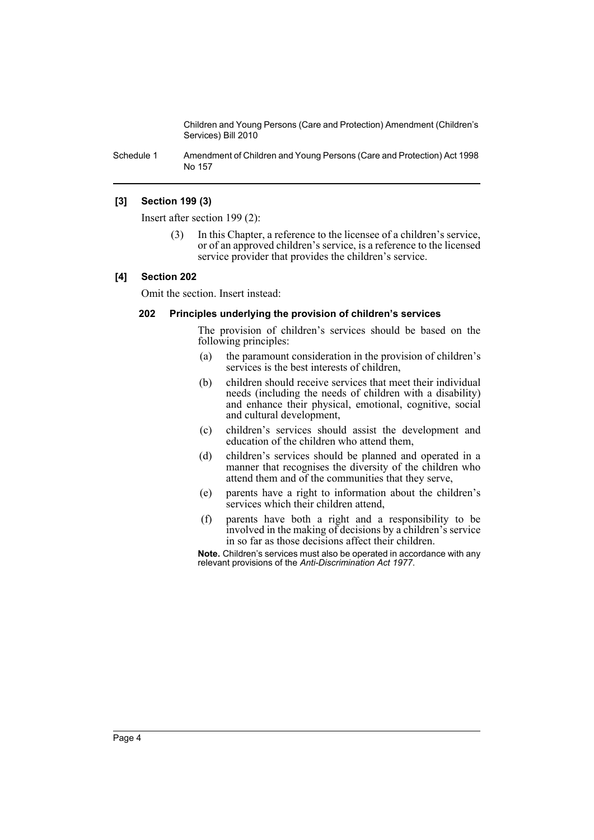Schedule 1 Amendment of Children and Young Persons (Care and Protection) Act 1998 No 157

#### **[3] Section 199 (3)**

Insert after section 199 (2):

(3) In this Chapter, a reference to the licensee of a children's service, or of an approved children's service, is a reference to the licensed service provider that provides the children's service.

#### **[4] Section 202**

Omit the section. Insert instead:

#### **202 Principles underlying the provision of children's services**

The provision of children's services should be based on the following principles:

- (a) the paramount consideration in the provision of children's services is the best interests of children,
- (b) children should receive services that meet their individual needs (including the needs of children with a disability) and enhance their physical, emotional, cognitive, social and cultural development,
- (c) children's services should assist the development and education of the children who attend them,
- (d) children's services should be planned and operated in a manner that recognises the diversity of the children who attend them and of the communities that they serve,
- (e) parents have a right to information about the children's services which their children attend,
- (f) parents have both a right and a responsibility to be involved in the making of decisions by a children's service in so far as those decisions affect their children.

**Note.** Children's services must also be operated in accordance with any relevant provisions of the *Anti-Discrimination Act 1977*.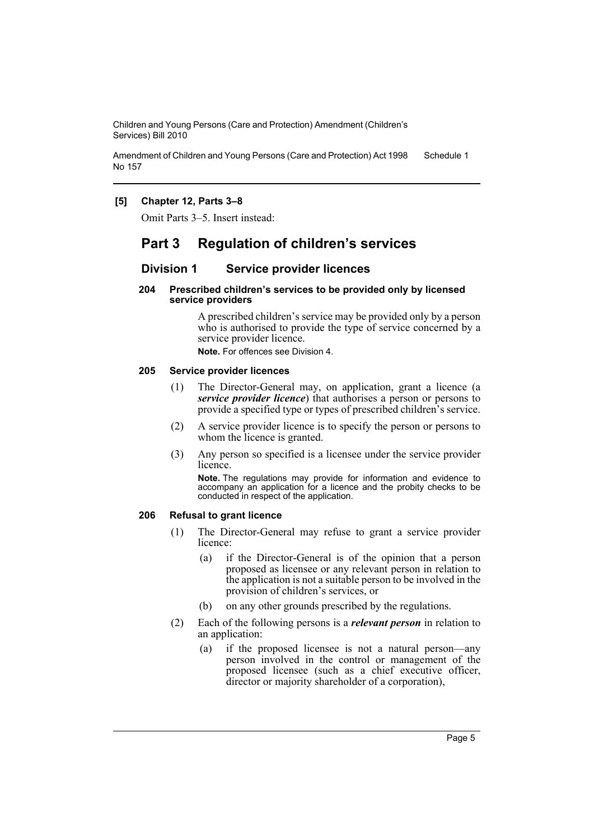Amendment of Children and Young Persons (Care and Protection) Act 1998 No 157 Schedule 1

# **[5] Chapter 12, Parts 3–8**

Omit Parts 3–5. Insert instead:

# **Part 3 Regulation of children's services**

# **Division 1 Service provider licences**

#### **204 Prescribed children's services to be provided only by licensed service providers**

A prescribed children's service may be provided only by a person who is authorised to provide the type of service concerned by a service provider licence.

**Note.** For offences see Division 4.

#### **205 Service provider licences**

- (1) The Director-General may, on application, grant a licence (a *service provider licence*) that authorises a person or persons to provide a specified type or types of prescribed children's service.
- (2) A service provider licence is to specify the person or persons to whom the licence is granted.
- (3) Any person so specified is a licensee under the service provider licence.

**Note.** The regulations may provide for information and evidence to accompany an application for a licence and the probity checks to be conducted in respect of the application.

# **206 Refusal to grant licence**

- (1) The Director-General may refuse to grant a service provider licence:
	- (a) if the Director-General is of the opinion that a person proposed as licensee or any relevant person in relation to the application is not a suitable person to be involved in the provision of children's services, or
	- (b) on any other grounds prescribed by the regulations.
- (2) Each of the following persons is a *relevant person* in relation to an application:
	- (a) if the proposed licensee is not a natural person—any person involved in the control or management of the proposed licensee (such as a chief executive officer, director or majority shareholder of a corporation),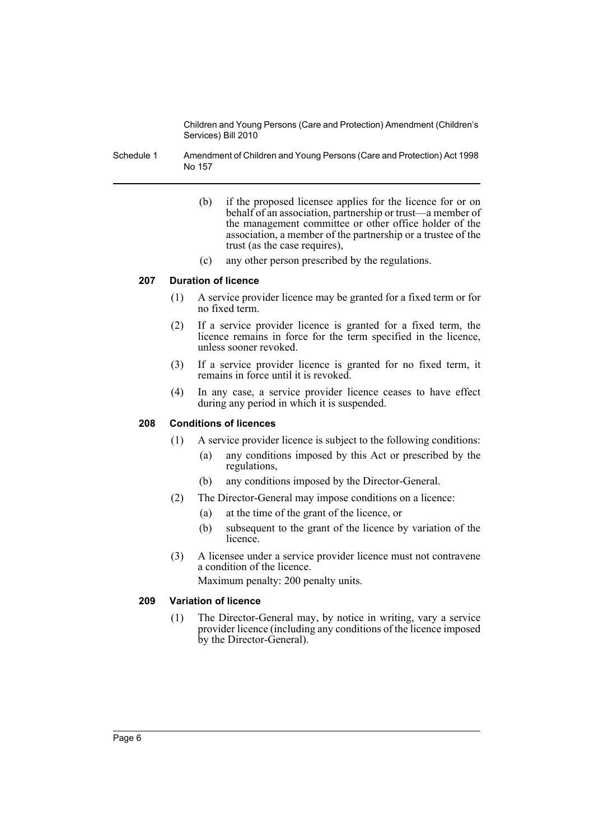Schedule 1 Amendment of Children and Young Persons (Care and Protection) Act 1998 No 157

- (b) if the proposed licensee applies for the licence for or on behalf of an association, partnership or trust—a member of the management committee or other office holder of the association, a member of the partnership or a trustee of the trust (as the case requires),
- (c) any other person prescribed by the regulations.

#### **207 Duration of licence**

- (1) A service provider licence may be granted for a fixed term or for no fixed term.
- (2) If a service provider licence is granted for a fixed term, the licence remains in force for the term specified in the licence, unless sooner revoked.
- (3) If a service provider licence is granted for no fixed term, it remains in force until it is revoked.
- (4) In any case, a service provider licence ceases to have effect during any period in which it is suspended.

### **208 Conditions of licences**

- (1) A service provider licence is subject to the following conditions:
	- (a) any conditions imposed by this Act or prescribed by the regulations,
	- (b) any conditions imposed by the Director-General.
- (2) The Director-General may impose conditions on a licence:
	- (a) at the time of the grant of the licence, or
	- (b) subsequent to the grant of the licence by variation of the licence.
- (3) A licensee under a service provider licence must not contravene a condition of the licence. Maximum penalty: 200 penalty units.

### **209 Variation of licence**

(1) The Director-General may, by notice in writing, vary a service provider licence (including any conditions of the licence imposed by the Director-General).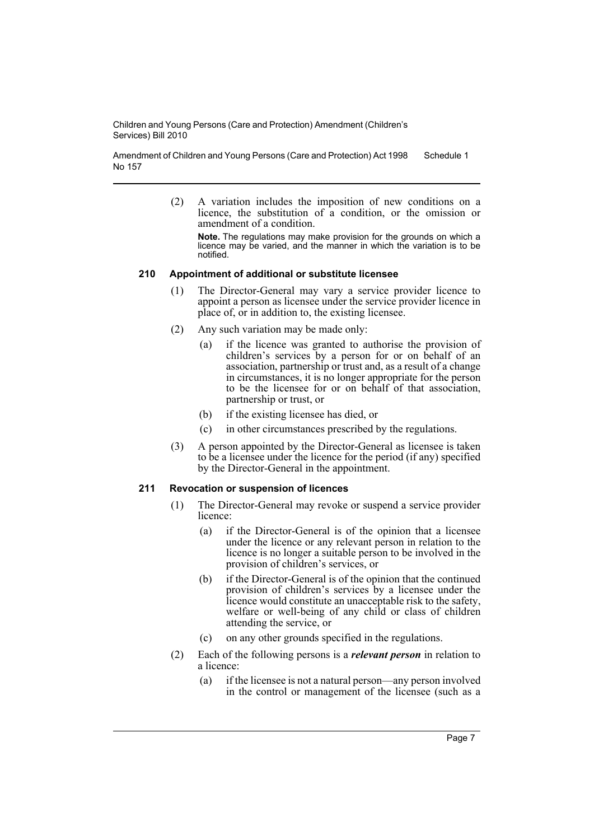Amendment of Children and Young Persons (Care and Protection) Act 1998 No 157 Schedule 1

> (2) A variation includes the imposition of new conditions on a licence, the substitution of a condition, or the omission or amendment of a condition.

**Note.** The regulations may make provision for the grounds on which a licence may be varied, and the manner in which the variation is to be notified.

#### **210 Appointment of additional or substitute licensee**

- (1) The Director-General may vary a service provider licence to appoint a person as licensee under the service provider licence in place of, or in addition to, the existing licensee.
- (2) Any such variation may be made only:
	- (a) if the licence was granted to authorise the provision of children's services by a person for or on behalf of an association, partnership or trust and, as a result of a change in circumstances, it is no longer appropriate for the person to be the licensee for or on behalf of that association, partnership or trust, or
	- (b) if the existing licensee has died, or
	- (c) in other circumstances prescribed by the regulations.
- (3) A person appointed by the Director-General as licensee is taken to be a licensee under the licence for the period (if any) specified by the Director-General in the appointment.

# **211 Revocation or suspension of licences**

- (1) The Director-General may revoke or suspend a service provider licence:
	- (a) if the Director-General is of the opinion that a licensee under the licence or any relevant person in relation to the licence is no longer a suitable person to be involved in the provision of children's services, or
	- (b) if the Director-General is of the opinion that the continued provision of children's services by a licensee under the licence would constitute an unacceptable risk to the safety, welfare or well-being of any child or class of children attending the service, or
	- (c) on any other grounds specified in the regulations.
- (2) Each of the following persons is a *relevant person* in relation to a licence:
	- (a) if the licensee is not a natural person—any person involved in the control or management of the licensee (such as a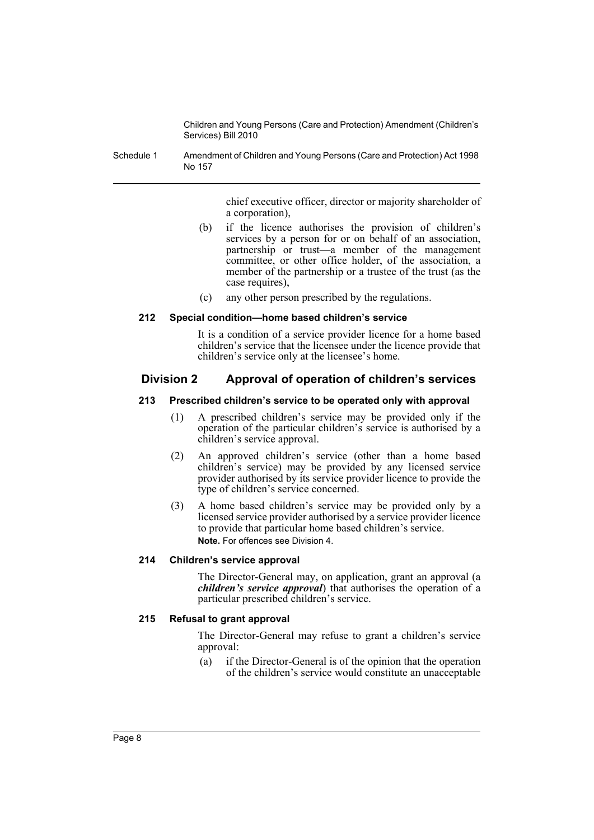Schedule 1 Amendment of Children and Young Persons (Care and Protection) Act 1998 No 157

> chief executive officer, director or majority shareholder of a corporation),

- (b) if the licence authorises the provision of children's services by a person for or on behalf of an association, partnership or trust—a member of the management committee, or other office holder, of the association, a member of the partnership or a trustee of the trust (as the case requires),
- (c) any other person prescribed by the regulations.

#### **212 Special condition—home based children's service**

It is a condition of a service provider licence for a home based children's service that the licensee under the licence provide that children's service only at the licensee's home.

# **Division 2 Approval of operation of children's services**

#### **213 Prescribed children's service to be operated only with approval**

- (1) A prescribed children's service may be provided only if the operation of the particular children's service is authorised by a children's service approval.
- (2) An approved children's service (other than a home based children's service) may be provided by any licensed service provider authorised by its service provider licence to provide the type of children's service concerned.
- (3) A home based children's service may be provided only by a licensed service provider authorised by a service provider licence to provide that particular home based children's service. **Note.** For offences see Division 4.

# **214 Children's service approval**

The Director-General may, on application, grant an approval (a *children's service approval*) that authorises the operation of a particular prescribed children's service.

# **215 Refusal to grant approval**

The Director-General may refuse to grant a children's service approval:

(a) if the Director-General is of the opinion that the operation of the children's service would constitute an unacceptable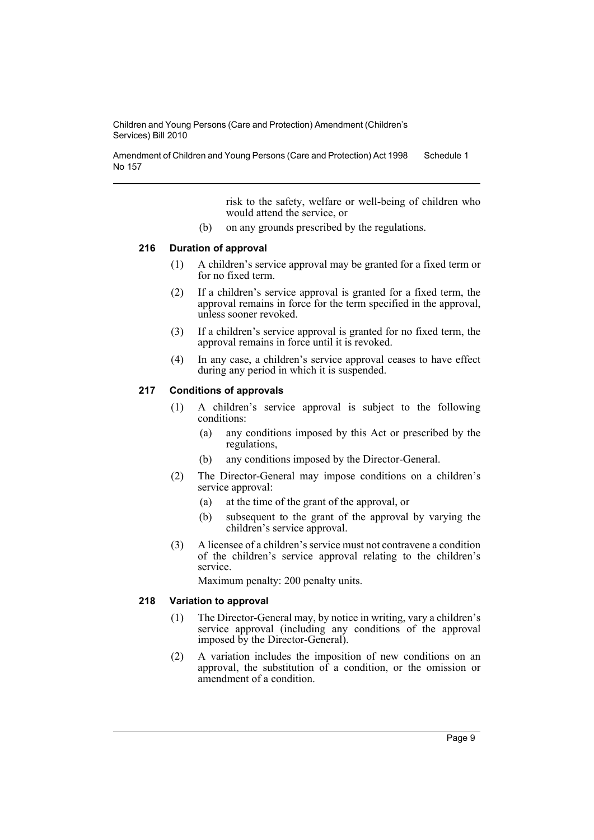Amendment of Children and Young Persons (Care and Protection) Act 1998 No 157 Schedule 1

> risk to the safety, welfare or well-being of children who would attend the service, or

(b) on any grounds prescribed by the regulations.

### **216 Duration of approval**

- (1) A children's service approval may be granted for a fixed term or for no fixed term.
- (2) If a children's service approval is granted for a fixed term, the approval remains in force for the term specified in the approval, unless sooner revoked.
- (3) If a children's service approval is granted for no fixed term, the approval remains in force until it is revoked.
- (4) In any case, a children's service approval ceases to have effect during any period in which it is suspended.

# **217 Conditions of approvals**

- (1) A children's service approval is subject to the following conditions:
	- (a) any conditions imposed by this Act or prescribed by the regulations,
	- (b) any conditions imposed by the Director-General.
- (2) The Director-General may impose conditions on a children's service approval:
	- (a) at the time of the grant of the approval, or
	- (b) subsequent to the grant of the approval by varying the children's service approval.
- (3) A licensee of a children's service must not contravene a condition of the children's service approval relating to the children's service.

Maximum penalty: 200 penalty units.

#### **218 Variation to approval**

- (1) The Director-General may, by notice in writing, vary a children's service approval (including any conditions of the approval imposed by the Director-General).
- (2) A variation includes the imposition of new conditions on an approval, the substitution of a condition, or the omission or amendment of a condition.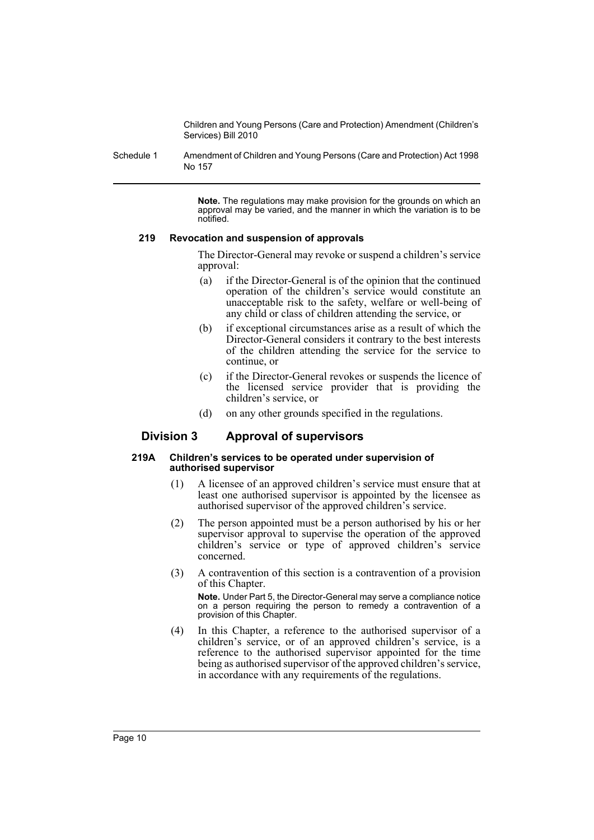Schedule 1 Amendment of Children and Young Persons (Care and Protection) Act 1998 No 157

> **Note.** The regulations may make provision for the grounds on which an approval may be varied, and the manner in which the variation is to be notified.

#### **219 Revocation and suspension of approvals**

The Director-General may revoke or suspend a children's service approval:

- (a) if the Director-General is of the opinion that the continued operation of the children's service would constitute an unacceptable risk to the safety, welfare or well-being of any child or class of children attending the service, or
- (b) if exceptional circumstances arise as a result of which the Director-General considers it contrary to the best interests of the children attending the service for the service to continue, or
- (c) if the Director-General revokes or suspends the licence of the licensed service provider that is providing the children's service, or
- (d) on any other grounds specified in the regulations.

# **Division 3 Approval of supervisors**

#### **219A Children's services to be operated under supervision of authorised supervisor**

- (1) A licensee of an approved children's service must ensure that at least one authorised supervisor is appointed by the licensee as authorised supervisor of the approved children's service.
- (2) The person appointed must be a person authorised by his or her supervisor approval to supervise the operation of the approved children's service or type of approved children's service concerned.
- (3) A contravention of this section is a contravention of a provision of this Chapter.

**Note.** Under Part 5, the Director-General may serve a compliance notice on a person requiring the person to remedy a contravention of a provision of this Chapter.

(4) In this Chapter, a reference to the authorised supervisor of a children's service, or of an approved children's service, is a reference to the authorised supervisor appointed for the time being as authorised supervisor of the approved children's service, in accordance with any requirements of the regulations.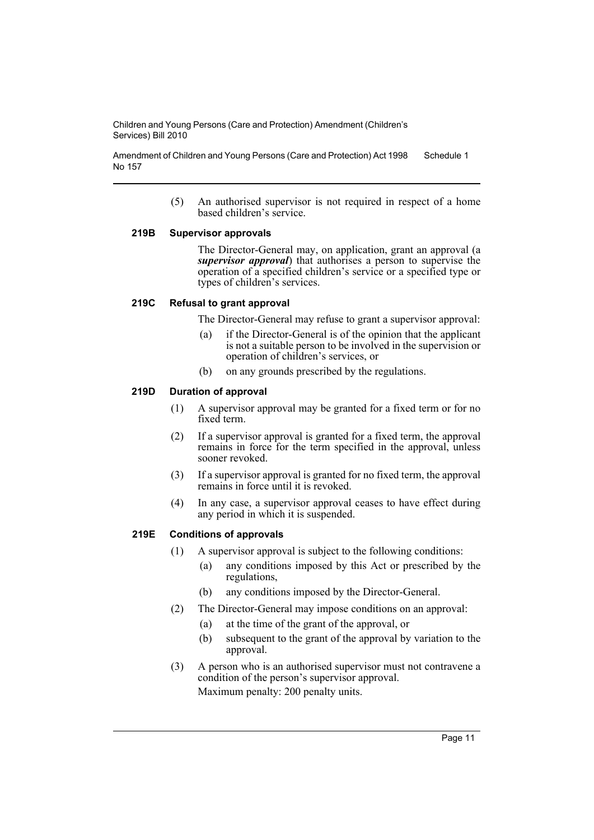Amendment of Children and Young Persons (Care and Protection) Act 1998 No 157 Schedule 1

> (5) An authorised supervisor is not required in respect of a home based children's service.

#### **219B Supervisor approvals**

The Director-General may, on application, grant an approval (a *supervisor approval*) that authorises a person to supervise the operation of a specified children's service or a specified type or types of children's services.

# **219C Refusal to grant approval**

The Director-General may refuse to grant a supervisor approval:

- (a) if the Director-General is of the opinion that the applicant is not a suitable person to be involved in the supervision or operation of children's services, or
- (b) on any grounds prescribed by the regulations.

#### **219D Duration of approval**

- (1) A supervisor approval may be granted for a fixed term or for no fixed term.
- (2) If a supervisor approval is granted for a fixed term, the approval remains in force for the term specified in the approval, unless sooner revoked.
- (3) If a supervisor approval is granted for no fixed term, the approval remains in force until it is revoked.
- (4) In any case, a supervisor approval ceases to have effect during any period in which it is suspended.

# **219E Conditions of approvals**

- (1) A supervisor approval is subject to the following conditions:
	- (a) any conditions imposed by this Act or prescribed by the regulations,
	- (b) any conditions imposed by the Director-General.
- (2) The Director-General may impose conditions on an approval:
	- (a) at the time of the grant of the approval, or
	- (b) subsequent to the grant of the approval by variation to the approval.
- (3) A person who is an authorised supervisor must not contravene a condition of the person's supervisor approval. Maximum penalty: 200 penalty units.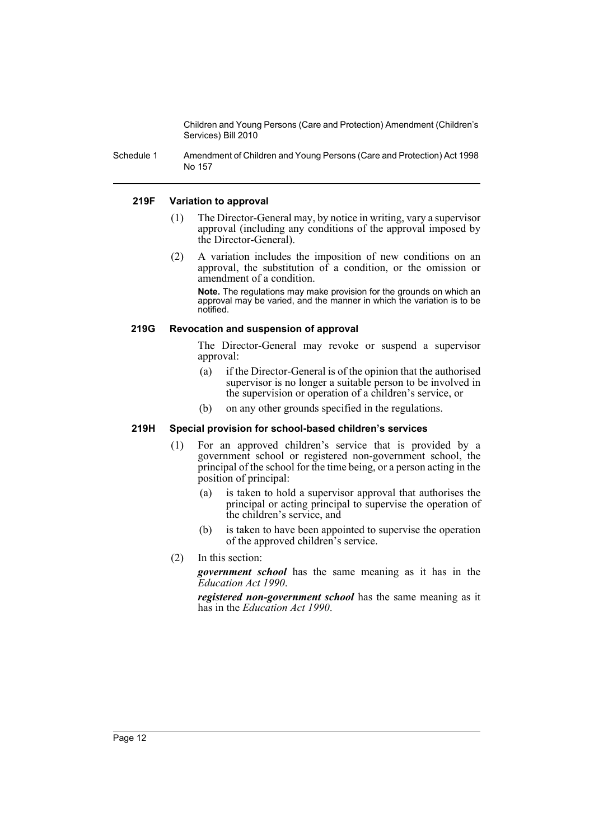Schedule 1 Amendment of Children and Young Persons (Care and Protection) Act 1998 No 157

#### **219F Variation to approval**

- (1) The Director-General may, by notice in writing, vary a supervisor approval (including any conditions of the approval imposed by the Director-General).
- (2) A variation includes the imposition of new conditions on an approval, the substitution of a condition, or the omission or amendment of a condition.

**Note.** The regulations may make provision for the grounds on which an approval may be varied, and the manner in which the variation is to be notified.

#### **219G Revocation and suspension of approval**

The Director-General may revoke or suspend a supervisor approval:

- (a) if the Director-General is of the opinion that the authorised supervisor is no longer a suitable person to be involved in the supervision or operation of a children's service, or
- (b) on any other grounds specified in the regulations.

# **219H Special provision for school-based children's services**

- (1) For an approved children's service that is provided by a government school or registered non-government school, the principal of the school for the time being, or a person acting in the position of principal:
	- (a) is taken to hold a supervisor approval that authorises the principal or acting principal to supervise the operation of the children's service, and
	- (b) is taken to have been appointed to supervise the operation of the approved children's service.
- (2) In this section:

*government school* has the same meaning as it has in the *Education Act 1990*.

*registered non-government school* has the same meaning as it has in the *Education Act 1990*.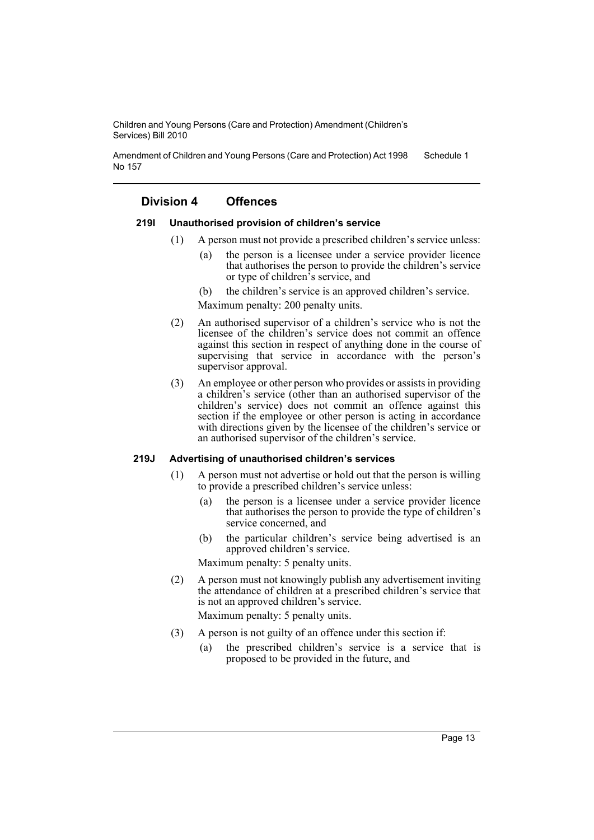Amendment of Children and Young Persons (Care and Protection) Act 1998 No 157 Schedule 1

# **Division 4 Offences**

#### **219I Unauthorised provision of children's service**

- (1) A person must not provide a prescribed children's service unless:
	- (a) the person is a licensee under a service provider licence that authorises the person to provide the children's service or type of children's service, and
	- (b) the children's service is an approved children's service.

Maximum penalty: 200 penalty units.

- (2) An authorised supervisor of a children's service who is not the licensee of the children's service does not commit an offence against this section in respect of anything done in the course of supervising that service in accordance with the person's supervisor approval.
- (3) An employee or other person who provides or assists in providing a children's service (other than an authorised supervisor of the children's service) does not commit an offence against this section if the employee or other person is acting in accordance with directions given by the licensee of the children's service or an authorised supervisor of the children's service.

#### **219J Advertising of unauthorised children's services**

- (1) A person must not advertise or hold out that the person is willing to provide a prescribed children's service unless:
	- (a) the person is a licensee under a service provider licence that authorises the person to provide the type of children's service concerned, and
	- (b) the particular children's service being advertised is an approved children's service.

Maximum penalty: 5 penalty units.

(2) A person must not knowingly publish any advertisement inviting the attendance of children at a prescribed children's service that is not an approved children's service.

Maximum penalty: 5 penalty units.

- (3) A person is not guilty of an offence under this section if:
	- (a) the prescribed children's service is a service that is proposed to be provided in the future, and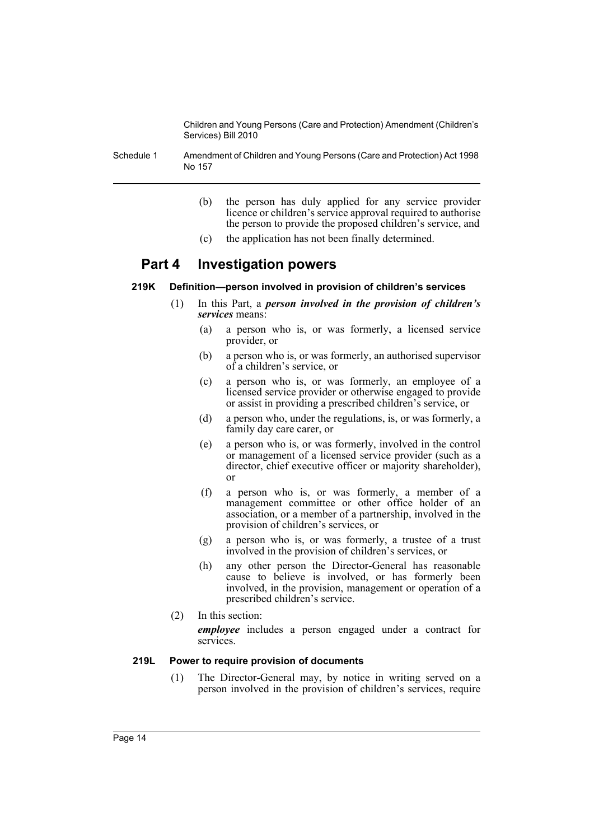Schedule 1 Amendment of Children and Young Persons (Care and Protection) Act 1998 No 157

- (b) the person has duly applied for any service provider licence or children's service approval required to authorise the person to provide the proposed children's service, and
- (c) the application has not been finally determined.

# **Part 4 Investigation powers**

#### **219K Definition—person involved in provision of children's services**

- (1) In this Part, a *person involved in the provision of children's services* means:
	- (a) a person who is, or was formerly, a licensed service provider, or
	- (b) a person who is, or was formerly, an authorised supervisor of a children's service, or
	- (c) a person who is, or was formerly, an employee of a licensed service provider or otherwise engaged to provide or assist in providing a prescribed children's service, or
	- (d) a person who, under the regulations, is, or was formerly, a family day care carer, or
	- (e) a person who is, or was formerly, involved in the control or management of a licensed service provider (such as a director, chief executive officer or majority shareholder), or
	- (f) a person who is, or was formerly, a member of a management committee or other office holder of an association, or a member of a partnership, involved in the provision of children's services, or
	- (g) a person who is, or was formerly, a trustee of a trust involved in the provision of children's services, or
	- (h) any other person the Director-General has reasonable cause to believe is involved, or has formerly been involved, in the provision, management or operation of a prescribed children's service.
- (2) In this section:

*employee* includes a person engaged under a contract for services.

#### **219L Power to require provision of documents**

(1) The Director-General may, by notice in writing served on a person involved in the provision of children's services, require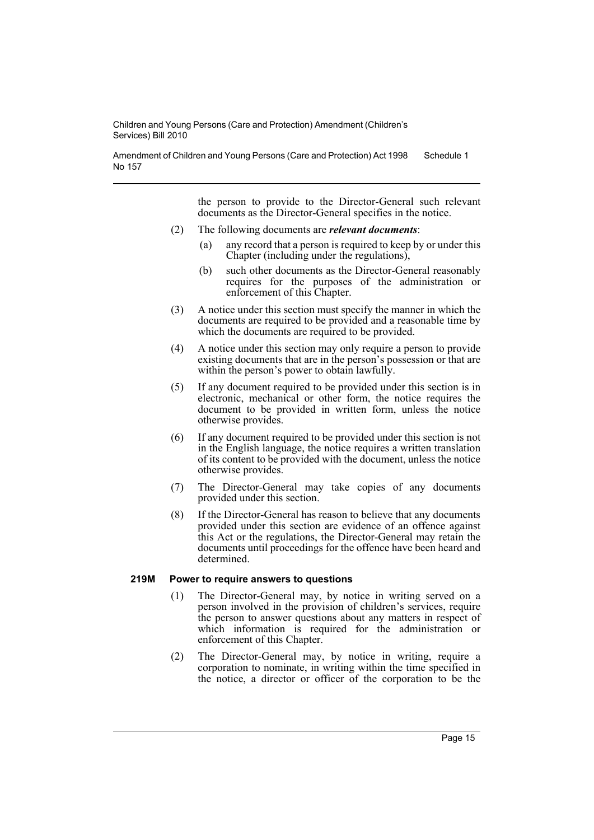Amendment of Children and Young Persons (Care and Protection) Act 1998 No 157 Schedule 1

> the person to provide to the Director-General such relevant documents as the Director-General specifies in the notice.

- (2) The following documents are *relevant documents*:
	- (a) any record that a person is required to keep by or under this Chapter (including under the regulations),
	- (b) such other documents as the Director-General reasonably requires for the purposes of the administration or enforcement of this Chapter.
- (3) A notice under this section must specify the manner in which the documents are required to be provided and a reasonable time by which the documents are required to be provided.
- (4) A notice under this section may only require a person to provide existing documents that are in the person's possession or that are within the person's power to obtain lawfully.
- (5) If any document required to be provided under this section is in electronic, mechanical or other form, the notice requires the document to be provided in written form, unless the notice otherwise provides.
- (6) If any document required to be provided under this section is not in the English language, the notice requires a written translation of its content to be provided with the document, unless the notice otherwise provides.
- (7) The Director-General may take copies of any documents provided under this section.
- (8) If the Director-General has reason to believe that any documents provided under this section are evidence of an offence against this Act or the regulations, the Director-General may retain the documents until proceedings for the offence have been heard and determined.

#### **219M Power to require answers to questions**

- (1) The Director-General may, by notice in writing served on a person involved in the provision of children's services, require the person to answer questions about any matters in respect of which information is required for the administration or enforcement of this Chapter.
- (2) The Director-General may, by notice in writing, require a corporation to nominate, in writing within the time specified in the notice, a director or officer of the corporation to be the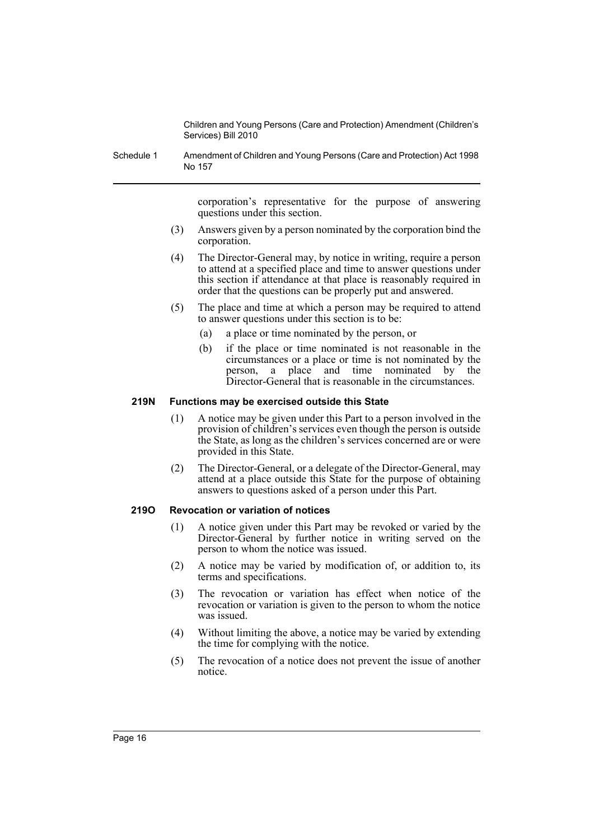Schedule 1 Amendment of Children and Young Persons (Care and Protection) Act 1998 No 157

> corporation's representative for the purpose of answering questions under this section.

- (3) Answers given by a person nominated by the corporation bind the corporation.
- (4) The Director-General may, by notice in writing, require a person to attend at a specified place and time to answer questions under this section if attendance at that place is reasonably required in order that the questions can be properly put and answered.
- (5) The place and time at which a person may be required to attend to answer questions under this section is to be:
	- (a) a place or time nominated by the person, or
	- (b) if the place or time nominated is not reasonable in the circumstances or a place or time is not nominated by the person, a place and time nominated by the Director-General that is reasonable in the circumstances.

# **219N Functions may be exercised outside this State**

- (1) A notice may be given under this Part to a person involved in the provision of children's services even though the person is outside the State, as long as the children's services concerned are or were provided in this State.
- (2) The Director-General, or a delegate of the Director-General, may attend at a place outside this State for the purpose of obtaining answers to questions asked of a person under this Part.

# **219O Revocation or variation of notices**

- (1) A notice given under this Part may be revoked or varied by the Director-General by further notice in writing served on the person to whom the notice was issued.
- (2) A notice may be varied by modification of, or addition to, its terms and specifications.
- (3) The revocation or variation has effect when notice of the revocation or variation is given to the person to whom the notice was issued.
- (4) Without limiting the above, a notice may be varied by extending the time for complying with the notice.
- (5) The revocation of a notice does not prevent the issue of another notice.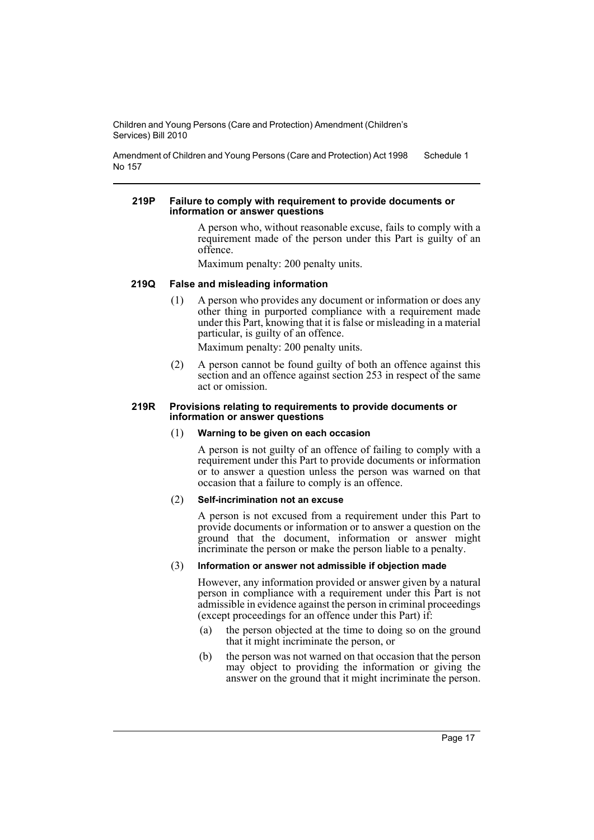Amendment of Children and Young Persons (Care and Protection) Act 1998 No 157 Schedule 1

#### **219P Failure to comply with requirement to provide documents or information or answer questions**

A person who, without reasonable excuse, fails to comply with a requirement made of the person under this Part is guilty of an offence.

Maximum penalty: 200 penalty units.

#### **219Q False and misleading information**

(1) A person who provides any document or information or does any other thing in purported compliance with a requirement made under this Part, knowing that it is false or misleading in a material particular, is guilty of an offence.

Maximum penalty: 200 penalty units.

(2) A person cannot be found guilty of both an offence against this section and an offence against section 253 in respect of the same act or omission.

#### **219R Provisions relating to requirements to provide documents or information or answer questions**

#### (1) **Warning to be given on each occasion**

A person is not guilty of an offence of failing to comply with a requirement under this Part to provide documents or information or to answer a question unless the person was warned on that occasion that a failure to comply is an offence.

#### (2) **Self-incrimination not an excuse**

A person is not excused from a requirement under this Part to provide documents or information or to answer a question on the ground that the document, information or answer might incriminate the person or make the person liable to a penalty.

# (3) **Information or answer not admissible if objection made**

However, any information provided or answer given by a natural person in compliance with a requirement under this Part is not admissible in evidence against the person in criminal proceedings (except proceedings for an offence under this Part) if:

- (a) the person objected at the time to doing so on the ground that it might incriminate the person, or
- (b) the person was not warned on that occasion that the person may object to providing the information or giving the answer on the ground that it might incriminate the person.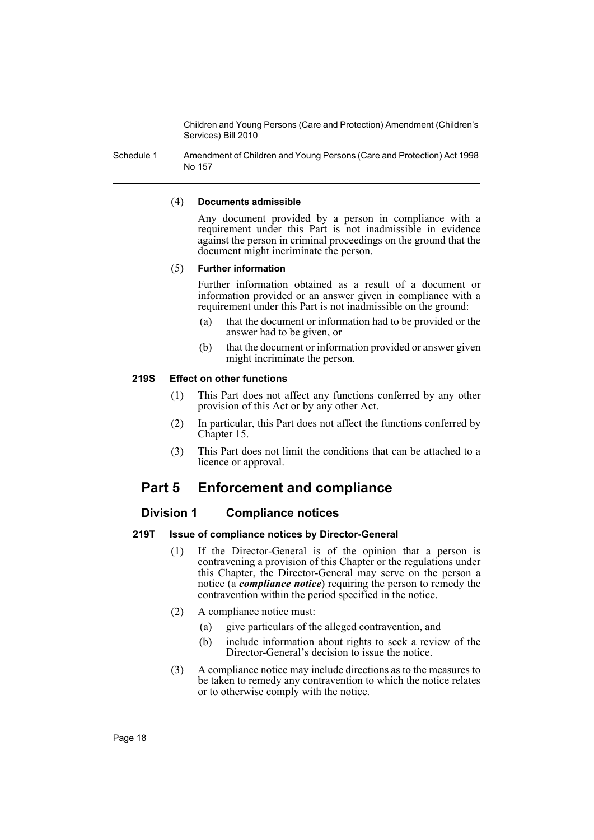Schedule 1 Amendment of Children and Young Persons (Care and Protection) Act 1998 No 157

#### (4) **Documents admissible**

Any document provided by a person in compliance with a requirement under this Part is not inadmissible in evidence against the person in criminal proceedings on the ground that the document might incriminate the person.

#### (5) **Further information**

Further information obtained as a result of a document or information provided or an answer given in compliance with a requirement under this Part is not inadmissible on the ground:

- (a) that the document or information had to be provided or the answer had to be given, or
- (b) that the document or information provided or answer given might incriminate the person.

#### **219S Effect on other functions**

- (1) This Part does not affect any functions conferred by any other provision of this Act or by any other Act.
- (2) In particular, this Part does not affect the functions conferred by Chapter 15.
- (3) This Part does not limit the conditions that can be attached to a licence or approval.

# **Part 5 Enforcement and compliance**

# **Division 1 Compliance notices**

# **219T Issue of compliance notices by Director-General**

- (1) If the Director-General is of the opinion that a person is contravening a provision of this Chapter or the regulations under this Chapter, the Director-General may serve on the person a notice (a *compliance notice*) requiring the person to remedy the contravention within the period specified in the notice.
- (2) A compliance notice must:
	- (a) give particulars of the alleged contravention, and
	- (b) include information about rights to seek a review of the Director-General's decision to issue the notice.
- (3) A compliance notice may include directions as to the measures to be taken to remedy any contravention to which the notice relates or to otherwise comply with the notice.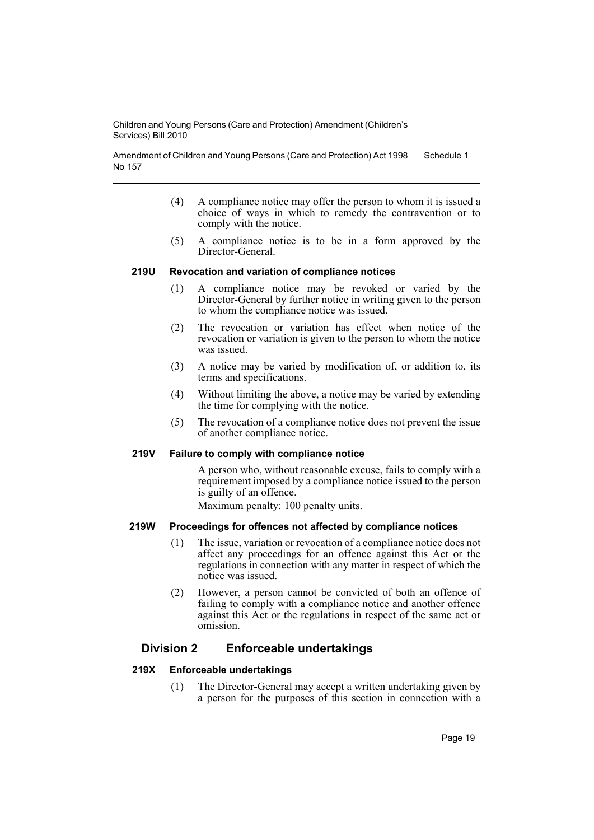Amendment of Children and Young Persons (Care and Protection) Act 1998 No 157 Schedule 1

- (4) A compliance notice may offer the person to whom it is issued a choice of ways in which to remedy the contravention or to comply with the notice.
- (5) A compliance notice is to be in a form approved by the Director-General.

#### **219U Revocation and variation of compliance notices**

- (1) A compliance notice may be revoked or varied by the Director-General by further notice in writing given to the person to whom the compliance notice was issued.
- (2) The revocation or variation has effect when notice of the revocation or variation is given to the person to whom the notice was issued.
- (3) A notice may be varied by modification of, or addition to, its terms and specifications.
- (4) Without limiting the above, a notice may be varied by extending the time for complying with the notice.
- (5) The revocation of a compliance notice does not prevent the issue of another compliance notice.

#### **219V Failure to comply with compliance notice**

A person who, without reasonable excuse, fails to comply with a requirement imposed by a compliance notice issued to the person is guilty of an offence.

Maximum penalty: 100 penalty units.

#### **219W Proceedings for offences not affected by compliance notices**

- (1) The issue, variation or revocation of a compliance notice does not affect any proceedings for an offence against this Act or the regulations in connection with any matter in respect of which the notice was issued.
- (2) However, a person cannot be convicted of both an offence of failing to comply with a compliance notice and another offence against this Act or the regulations in respect of the same act or omission.

# **Division 2 Enforceable undertakings**

#### **219X Enforceable undertakings**

(1) The Director-General may accept a written undertaking given by a person for the purposes of this section in connection with a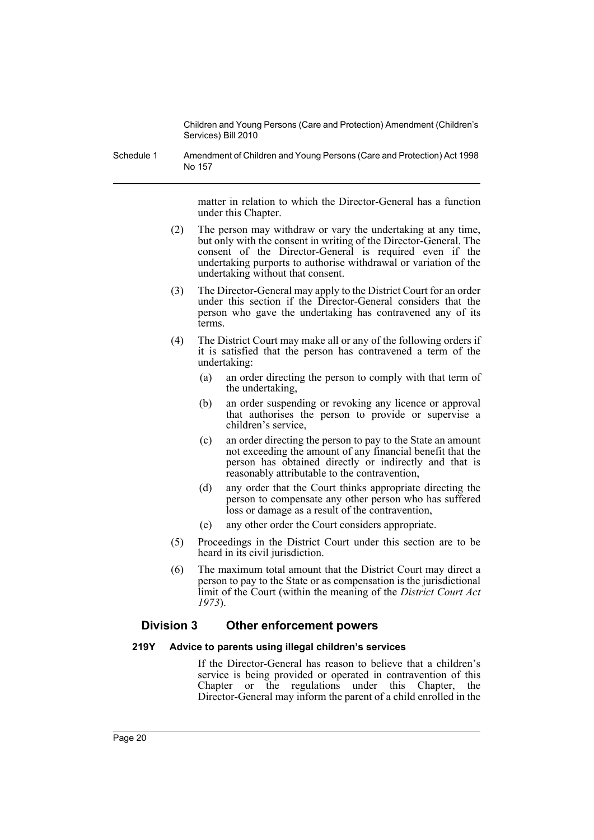Schedule 1 Amendment of Children and Young Persons (Care and Protection) Act 1998 No 157

> matter in relation to which the Director-General has a function under this Chapter.

- (2) The person may withdraw or vary the undertaking at any time, but only with the consent in writing of the Director-General. The consent of the Director-General is required even if the undertaking purports to authorise withdrawal or variation of the undertaking without that consent.
- (3) The Director-General may apply to the District Court for an order under this section if the Director-General considers that the person who gave the undertaking has contravened any of its terms.
- (4) The District Court may make all or any of the following orders if it is satisfied that the person has contravened a term of the undertaking:
	- (a) an order directing the person to comply with that term of the undertaking,
	- (b) an order suspending or revoking any licence or approval that authorises the person to provide or supervise a children's service,
	- (c) an order directing the person to pay to the State an amount not exceeding the amount of any financial benefit that the person has obtained directly or indirectly and that is reasonably attributable to the contravention,
	- (d) any order that the Court thinks appropriate directing the person to compensate any other person who has suffered loss or damage as a result of the contravention,
	- (e) any other order the Court considers appropriate.
- (5) Proceedings in the District Court under this section are to be heard in its civil jurisdiction.
- (6) The maximum total amount that the District Court may direct a person to pay to the State or as compensation is the jurisdictional limit of the Court (within the meaning of the *District Court Act 1973*).

# **Division 3 Other enforcement powers**

# **219Y Advice to parents using illegal children's services**

If the Director-General has reason to believe that a children's service is being provided or operated in contravention of this Chapter or the regulations under this Chapter, the Director-General may inform the parent of a child enrolled in the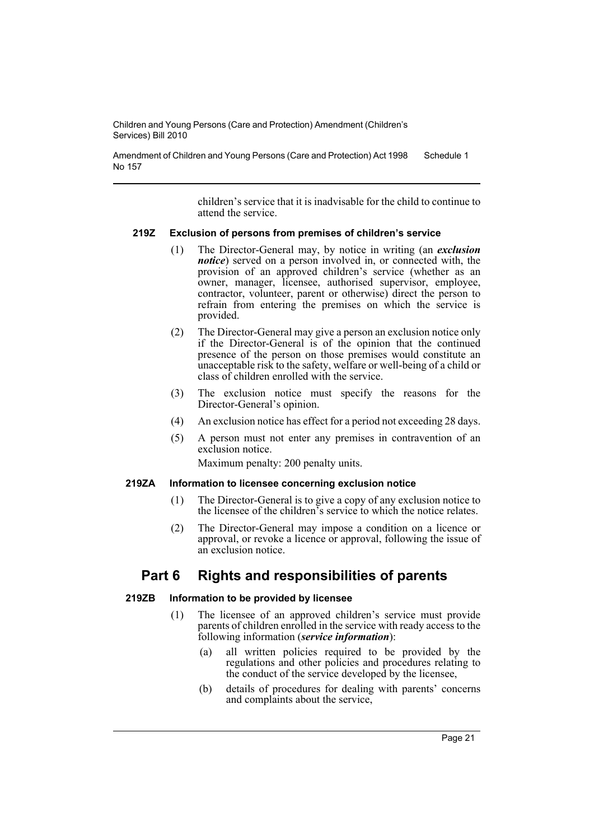Amendment of Children and Young Persons (Care and Protection) Act 1998 No 157 Schedule 1

> children's service that it is inadvisable for the child to continue to attend the service.

#### **219Z Exclusion of persons from premises of children's service**

- (1) The Director-General may, by notice in writing (an *exclusion notice*) served on a person involved in, or connected with, the provision of an approved children's service (whether as an owner, manager, licensee, authorised supervisor, employee, contractor, volunteer, parent or otherwise) direct the person to refrain from entering the premises on which the service is provided.
- (2) The Director-General may give a person an exclusion notice only if the Director-General is of the opinion that the continued presence of the person on those premises would constitute an unacceptable risk to the safety, welfare or well-being of a child or class of children enrolled with the service.
- (3) The exclusion notice must specify the reasons for the Director-General's opinion.
- (4) An exclusion notice has effect for a period not exceeding 28 days.
- (5) A person must not enter any premises in contravention of an exclusion notice.

Maximum penalty: 200 penalty units.

#### **219ZA Information to licensee concerning exclusion notice**

- (1) The Director-General is to give a copy of any exclusion notice to the licensee of the children's service to which the notice relates.
- (2) The Director-General may impose a condition on a licence or approval, or revoke a licence or approval, following the issue of an exclusion notice.

# **Part 6 Rights and responsibilities of parents**

# **219ZB Information to be provided by licensee**

- (1) The licensee of an approved children's service must provide parents of children enrolled in the service with ready access to the following information (*service information*):
	- (a) all written policies required to be provided by the regulations and other policies and procedures relating to the conduct of the service developed by the licensee,
	- (b) details of procedures for dealing with parents' concerns and complaints about the service,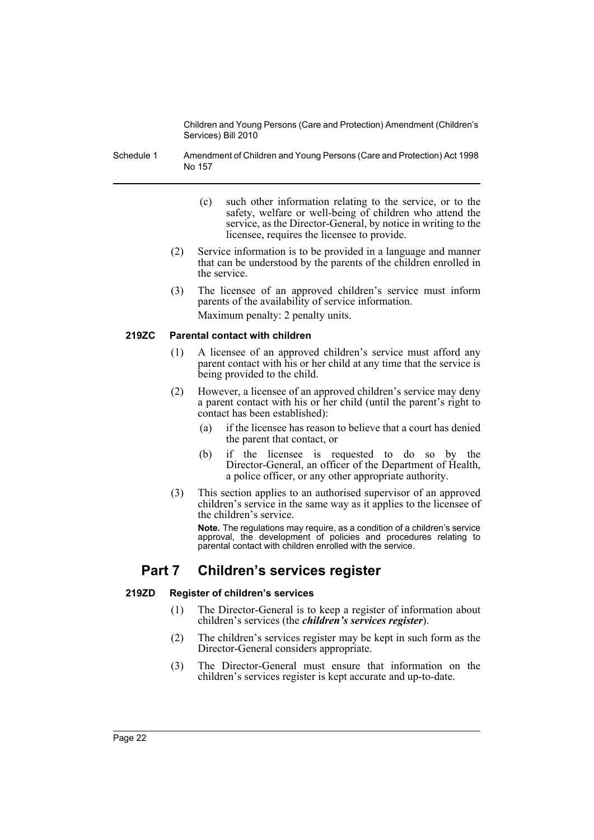Schedule 1 Amendment of Children and Young Persons (Care and Protection) Act 1998 No 157

- (c) such other information relating to the service, or to the safety, welfare or well-being of children who attend the service, as the Director-General, by notice in writing to the licensee, requires the licensee to provide.
- (2) Service information is to be provided in a language and manner that can be understood by the parents of the children enrolled in the service.
- (3) The licensee of an approved children's service must inform parents of the availability of service information. Maximum penalty: 2 penalty units.

# **219ZC Parental contact with children**

- (1) A licensee of an approved children's service must afford any parent contact with his or her child at any time that the service is being provided to the child.
- (2) However, a licensee of an approved children's service may deny a parent contact with his or her child (until the parent's right to contact has been established):
	- (a) if the licensee has reason to believe that a court has denied the parent that contact, or
	- (b) if the licensee is requested to do so by the Director-General, an officer of the Department of Health, a police officer, or any other appropriate authority.
- (3) This section applies to an authorised supervisor of an approved children's service in the same way as it applies to the licensee of the children's service.

**Note.** The regulations may require, as a condition of a children's service approval, the development of policies and procedures relating to parental contact with children enrolled with the service.

# **Part 7 Children's services register**

# **219ZD Register of children's services**

- (1) The Director-General is to keep a register of information about children's services (the *children's services register*).
- (2) The children's services register may be kept in such form as the Director-General considers appropriate.
- (3) The Director-General must ensure that information on the children's services register is kept accurate and up-to-date.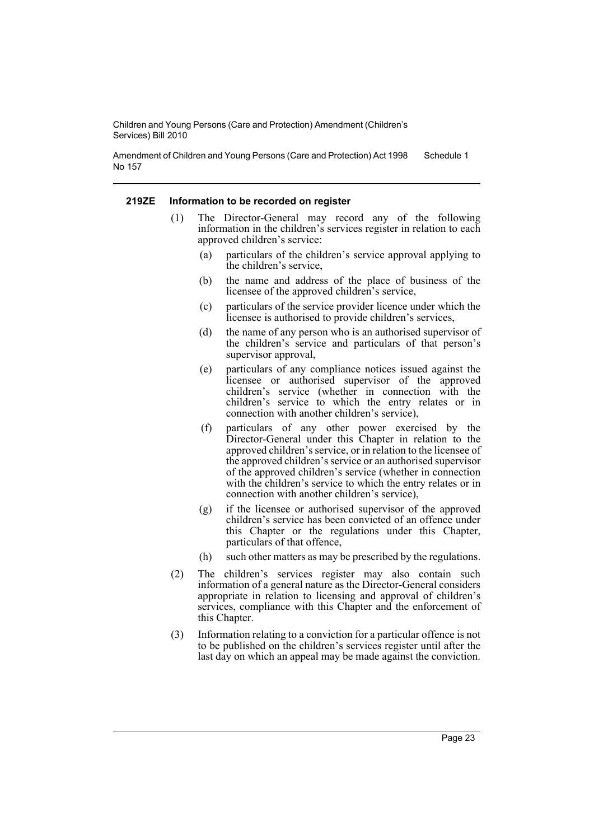Amendment of Children and Young Persons (Care and Protection) Act 1998 No 157 Schedule 1

#### **219ZE Information to be recorded on register**

- (1) The Director-General may record any of the following information in the children's services register in relation to each approved children's service:
	- (a) particulars of the children's service approval applying to the children's service,
	- (b) the name and address of the place of business of the licensee of the approved children's service,
	- (c) particulars of the service provider licence under which the licensee is authorised to provide children's services,
	- (d) the name of any person who is an authorised supervisor of the children's service and particulars of that person's supervisor approval,
	- (e) particulars of any compliance notices issued against the licensee or authorised supervisor of the approved children's service (whether in connection with the children's service to which the entry relates or in connection with another children's service),
	- (f) particulars of any other power exercised by the Director-General under this Chapter in relation to the approved children's service, or in relation to the licensee of the approved children's service or an authorised supervisor of the approved children's service (whether in connection with the children's service to which the entry relates or in connection with another children's service),
	- (g) if the licensee or authorised supervisor of the approved children's service has been convicted of an offence under this Chapter or the regulations under this Chapter, particulars of that offence,
	- (h) such other matters as may be prescribed by the regulations.
- (2) The children's services register may also contain such information of a general nature as the Director-General considers appropriate in relation to licensing and approval of children's services, compliance with this Chapter and the enforcement of this Chapter.
- (3) Information relating to a conviction for a particular offence is not to be published on the children's services register until after the last day on which an appeal may be made against the conviction.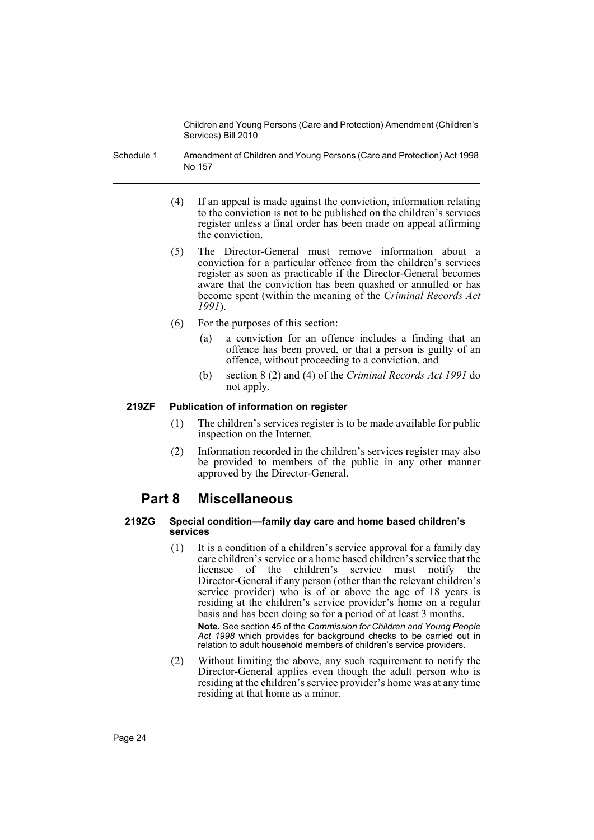- Schedule 1 Amendment of Children and Young Persons (Care and Protection) Act 1998 No 157
	- (4) If an appeal is made against the conviction, information relating to the conviction is not to be published on the children's services register unless a final order has been made on appeal affirming the conviction.
	- (5) The Director-General must remove information about a conviction for a particular offence from the children's services register as soon as practicable if the Director-General becomes aware that the conviction has been quashed or annulled or has become spent (within the meaning of the *Criminal Records Act 1991*).
	- (6) For the purposes of this section:
		- (a) a conviction for an offence includes a finding that an offence has been proved, or that a person is guilty of an offence, without proceeding to a conviction, and
		- (b) section 8 (2) and (4) of the *Criminal Records Act 1991* do not apply.

# **219ZF Publication of information on register**

- (1) The children's services register is to be made available for public inspection on the Internet.
- (2) Information recorded in the children's services register may also be provided to members of the public in any other manner approved by the Director-General.

# **Part 8 Miscellaneous**

#### **219ZG Special condition—family day care and home based children's services**

(1) It is a condition of a children's service approval for a family day care children's service or a home based children's service that the licensee of the children's service must notify the Director-General if any person (other than the relevant children's service provider) who is of or above the age of 18 years is residing at the children's service provider's home on a regular basis and has been doing so for a period of at least 3 months.

**Note.** See section 45 of the *Commission for Children and Young People Act 1998* which provides for background checks to be carried out in relation to adult household members of children's service providers.

(2) Without limiting the above, any such requirement to notify the Director-General applies even though the adult person who is residing at the children's service provider's home was at any time residing at that home as a minor.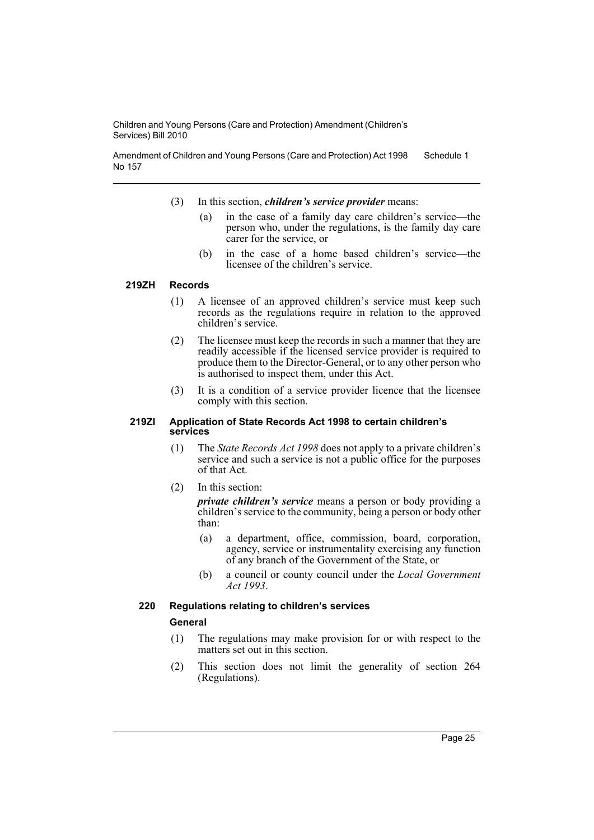Amendment of Children and Young Persons (Care and Protection) Act 1998 No 157 Schedule 1

- (3) In this section, *children's service provider* means:
	- (a) in the case of a family day care children's service—the person who, under the regulations, is the family day care carer for the service, or
	- (b) in the case of a home based children's service—the licensee of the children's service.

#### **219ZH Records**

- (1) A licensee of an approved children's service must keep such records as the regulations require in relation to the approved children's service.
- (2) The licensee must keep the records in such a manner that they are readily accessible if the licensed service provider is required to produce them to the Director-General, or to any other person who is authorised to inspect them, under this Act.
- (3) It is a condition of a service provider licence that the licensee comply with this section.

#### **219ZI Application of State Records Act 1998 to certain children's services**

- (1) The *State Records Act 1998* does not apply to a private children's service and such a service is not a public office for the purposes of that Act.
- (2) In this section:

*private children's service* means a person or body providing a children's service to the community, being a person or body other than:

- (a) a department, office, commission, board, corporation, agency, service or instrumentality exercising any function of any branch of the Government of the State, or
- (b) a council or county council under the *Local Government Act 1993*.

# **220 Regulations relating to children's services**

# **General**

- (1) The regulations may make provision for or with respect to the matters set out in this section.
- (2) This section does not limit the generality of section 264 (Regulations).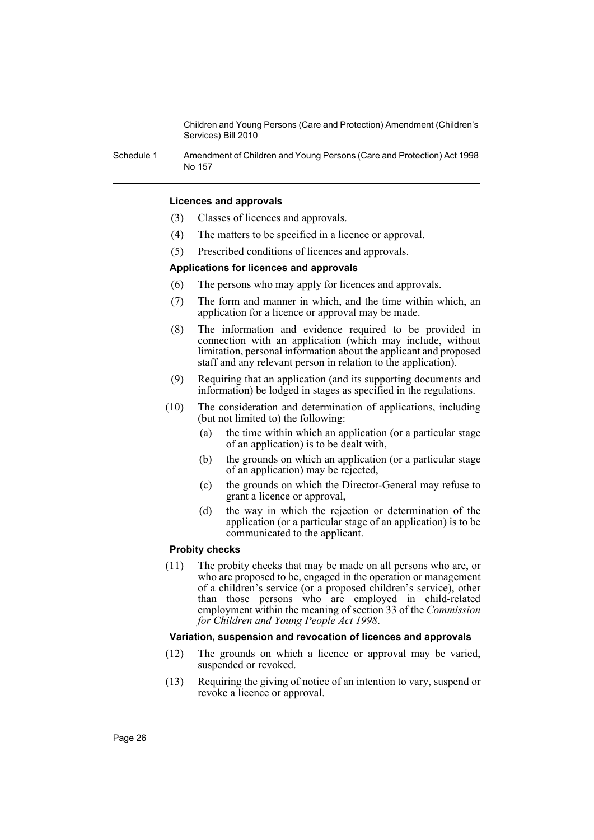Schedule 1 Amendment of Children and Young Persons (Care and Protection) Act 1998 No 157

#### **Licences and approvals**

- (3) Classes of licences and approvals.
- (4) The matters to be specified in a licence or approval.
- (5) Prescribed conditions of licences and approvals.

#### **Applications for licences and approvals**

- (6) The persons who may apply for licences and approvals.
- (7) The form and manner in which, and the time within which, an application for a licence or approval may be made.
- (8) The information and evidence required to be provided in connection with an application (which may include, without limitation, personal information about the applicant and proposed staff and any relevant person in relation to the application).
- (9) Requiring that an application (and its supporting documents and information) be lodged in stages as specified in the regulations.
- (10) The consideration and determination of applications, including (but not limited to) the following:
	- (a) the time within which an application (or a particular stage of an application) is to be dealt with,
	- (b) the grounds on which an application (or a particular stage of an application) may be rejected,
	- (c) the grounds on which the Director-General may refuse to grant a licence or approval,
	- (d) the way in which the rejection or determination of the application (or a particular stage of an application) is to be communicated to the applicant.

#### **Probity checks**

(11) The probity checks that may be made on all persons who are, or who are proposed to be, engaged in the operation or management of a children's service (or a proposed children's service), other than those persons who are employed in child-related employment within the meaning of section 33 of the *Commission for Children and Young People Act 1998*.

#### **Variation, suspension and revocation of licences and approvals**

- (12) The grounds on which a licence or approval may be varied, suspended or revoked.
- (13) Requiring the giving of notice of an intention to vary, suspend or revoke a licence or approval.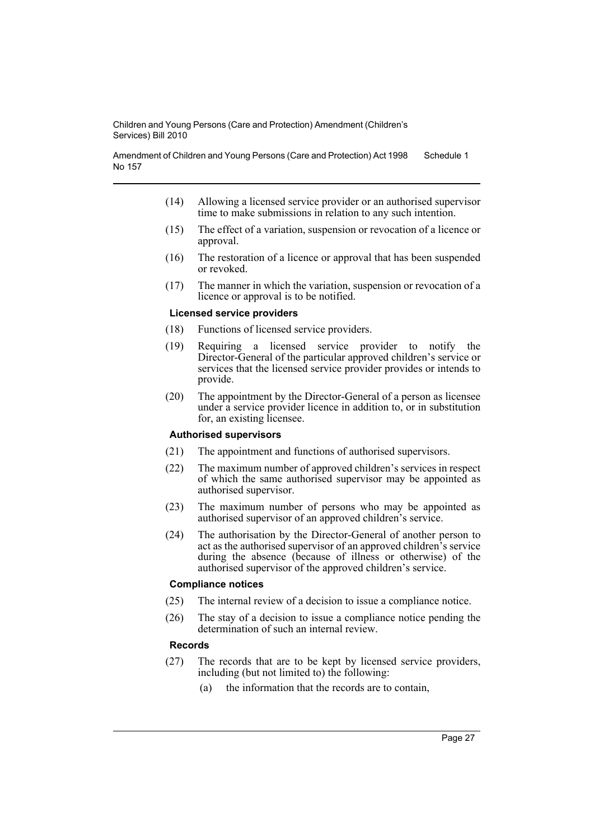Amendment of Children and Young Persons (Care and Protection) Act 1998 No 157 Schedule 1

- (14) Allowing a licensed service provider or an authorised supervisor time to make submissions in relation to any such intention.
- (15) The effect of a variation, suspension or revocation of a licence or approval.
- (16) The restoration of a licence or approval that has been suspended or revoked.
- (17) The manner in which the variation, suspension or revocation of a licence or approval is to be notified.

#### **Licensed service providers**

- (18) Functions of licensed service providers.
- (19) Requiring a licensed service provider to notify the Director-General of the particular approved children's service or services that the licensed service provider provides or intends to provide.
- (20) The appointment by the Director-General of a person as licensee under a service provider licence in addition to, or in substitution for, an existing licensee.

### **Authorised supervisors**

- (21) The appointment and functions of authorised supervisors.
- (22) The maximum number of approved children's services in respect of which the same authorised supervisor may be appointed as authorised supervisor.
- (23) The maximum number of persons who may be appointed as authorised supervisor of an approved children's service.
- (24) The authorisation by the Director-General of another person to act as the authorised supervisor of an approved children's service during the absence (because of illness or otherwise) of the authorised supervisor of the approved children's service.

#### **Compliance notices**

- (25) The internal review of a decision to issue a compliance notice.
- (26) The stay of a decision to issue a compliance notice pending the determination of such an internal review.

#### **Records**

- (27) The records that are to be kept by licensed service providers, including (but not limited to) the following:
	- (a) the information that the records are to contain,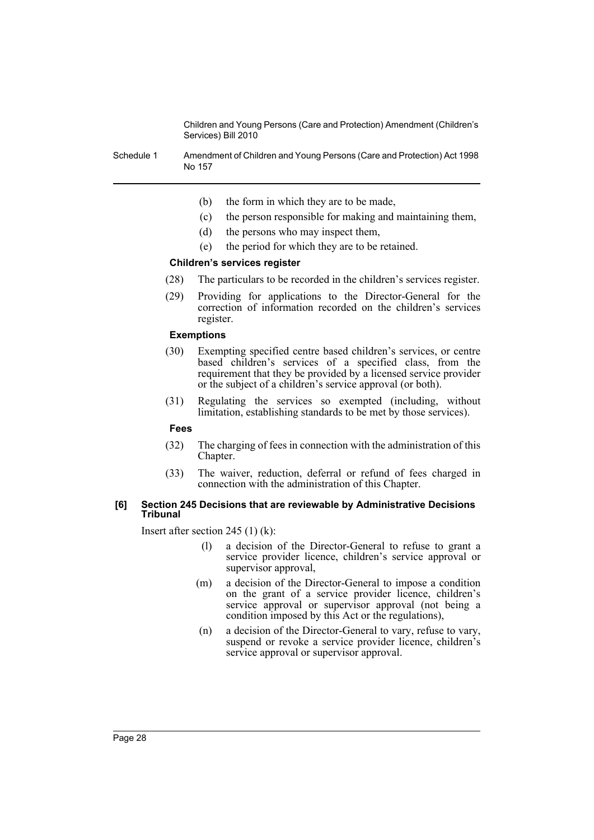Schedule 1 Amendment of Children and Young Persons (Care and Protection) Act 1998 No 157

- (b) the form in which they are to be made,
- (c) the person responsible for making and maintaining them,
- (d) the persons who may inspect them,
- (e) the period for which they are to be retained.

#### **Children's services register**

- (28) The particulars to be recorded in the children's services register.
- (29) Providing for applications to the Director-General for the correction of information recorded on the children's services register.

#### **Exemptions**

- (30) Exempting specified centre based children's services, or centre based children's services of a specified class, from the requirement that they be provided by a licensed service provider or the subject of a children's service approval (or both).
- (31) Regulating the services so exempted (including, without limitation, establishing standards to be met by those services).

#### **Fees**

- (32) The charging of fees in connection with the administration of this Chapter.
- (33) The waiver, reduction, deferral or refund of fees charged in connection with the administration of this Chapter.

#### **[6] Section 245 Decisions that are reviewable by Administrative Decisions Tribunal**

Insert after section 245 (1) (k):

- (l) a decision of the Director-General to refuse to grant a service provider licence, children's service approval or supervisor approval,
- (m) a decision of the Director-General to impose a condition on the grant of a service provider licence, children's service approval or supervisor approval (not being a condition imposed by this Act or the regulations),
- (n) a decision of the Director-General to vary, refuse to vary, suspend or revoke a service provider licence, children's service approval or supervisor approval.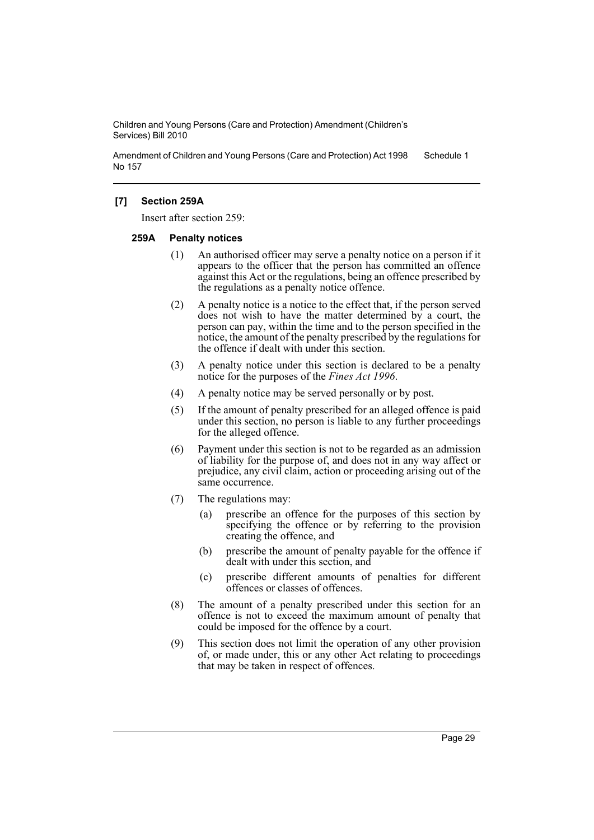Amendment of Children and Young Persons (Care and Protection) Act 1998 No 157 Schedule 1

# **[7] Section 259A**

Insert after section 259:

#### **259A Penalty notices**

- (1) An authorised officer may serve a penalty notice on a person if it appears to the officer that the person has committed an offence against this Act or the regulations, being an offence prescribed by the regulations as a penalty notice offence.
- (2) A penalty notice is a notice to the effect that, if the person served does not wish to have the matter determined by a court, the person can pay, within the time and to the person specified in the notice, the amount of the penalty prescribed by the regulations for the offence if dealt with under this section.
- (3) A penalty notice under this section is declared to be a penalty notice for the purposes of the *Fines Act 1996*.
- (4) A penalty notice may be served personally or by post.
- (5) If the amount of penalty prescribed for an alleged offence is paid under this section, no person is liable to any further proceedings for the alleged offence.
- (6) Payment under this section is not to be regarded as an admission of liability for the purpose of, and does not in any way affect or prejudice, any civil claim, action or proceeding arising out of the same occurrence.
- (7) The regulations may:
	- (a) prescribe an offence for the purposes of this section by specifying the offence or by referring to the provision creating the offence, and
	- (b) prescribe the amount of penalty payable for the offence if dealt with under this section, and
	- (c) prescribe different amounts of penalties for different offences or classes of offences.
- (8) The amount of a penalty prescribed under this section for an offence is not to exceed the maximum amount of penalty that could be imposed for the offence by a court.
- (9) This section does not limit the operation of any other provision of, or made under, this or any other Act relating to proceedings that may be taken in respect of offences.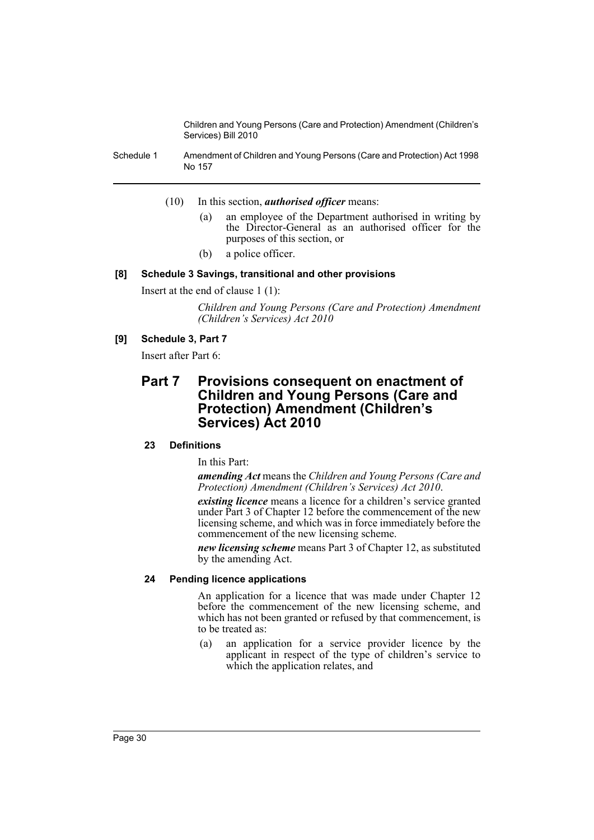Schedule 1 Amendment of Children and Young Persons (Care and Protection) Act 1998 No 157

- (10) In this section, *authorised officer* means:
	- (a) an employee of the Department authorised in writing by the Director-General as an authorised officer for the purposes of this section, or
	- (b) a police officer.

#### **[8] Schedule 3 Savings, transitional and other provisions**

Insert at the end of clause 1 (1):

*Children and Young Persons (Care and Protection) Amendment (Children's Services) Act 2010*

# **[9] Schedule 3, Part 7**

Insert after Part 6:

# **Part 7 Provisions consequent on enactment of Children and Young Persons (Care and Protection) Amendment (Children's Services) Act 2010**

# **23 Definitions**

In this Part:

*amending Act* means the *Children and Young Persons (Care and Protection) Amendment (Children's Services) Act 2010*.

*existing licence* means a licence for a children's service granted under Part 3 of Chapter 12 before the commencement of the new licensing scheme, and which was in force immediately before the commencement of the new licensing scheme.

*new licensing scheme* means Part 3 of Chapter 12, as substituted by the amending Act.

#### **24 Pending licence applications**

An application for a licence that was made under Chapter 12 before the commencement of the new licensing scheme, and which has not been granted or refused by that commencement, is to be treated as:

(a) an application for a service provider licence by the applicant in respect of the type of children's service to which the application relates, and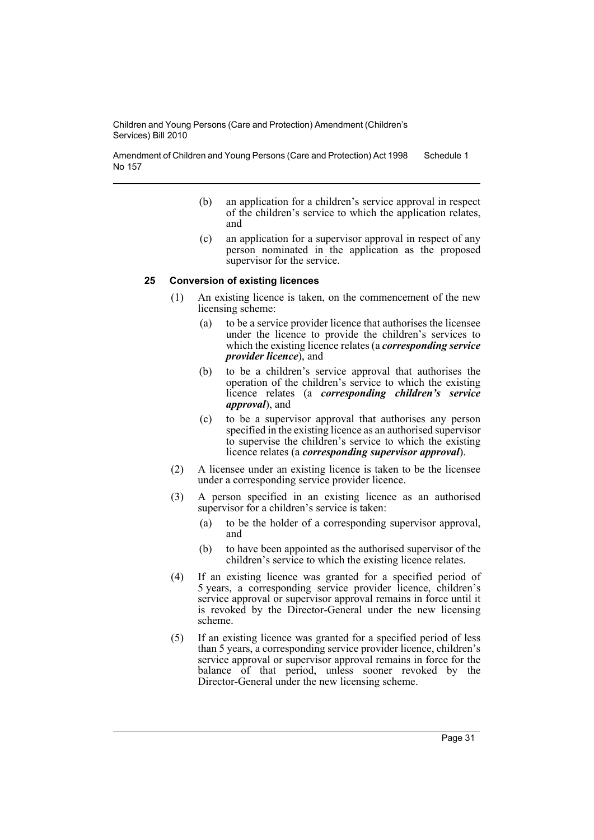Amendment of Children and Young Persons (Care and Protection) Act 1998 No 157 Schedule 1

- (b) an application for a children's service approval in respect of the children's service to which the application relates, and
- (c) an application for a supervisor approval in respect of any person nominated in the application as the proposed supervisor for the service.

#### **25 Conversion of existing licences**

- (1) An existing licence is taken, on the commencement of the new licensing scheme:
	- (a) to be a service provider licence that authorises the licensee under the licence to provide the children's services to which the existing licence relates (a *corresponding service provider licence*), and
	- (b) to be a children's service approval that authorises the operation of the children's service to which the existing licence relates (a *corresponding children's service approval*), and
	- (c) to be a supervisor approval that authorises any person specified in the existing licence as an authorised supervisor to supervise the children's service to which the existing licence relates (a *corresponding supervisor approval*).
- (2) A licensee under an existing licence is taken to be the licensee under a corresponding service provider licence.
- (3) A person specified in an existing licence as an authorised supervisor for a children's service is taken:
	- (a) to be the holder of a corresponding supervisor approval, and
	- (b) to have been appointed as the authorised supervisor of the children's service to which the existing licence relates.
- (4) If an existing licence was granted for a specified period of 5 years, a corresponding service provider licence, children's service approval or supervisor approval remains in force until it is revoked by the Director-General under the new licensing scheme.
- (5) If an existing licence was granted for a specified period of less than 5 years, a corresponding service provider licence, children's service approval or supervisor approval remains in force for the balance of that period, unless sooner revoked by the Director-General under the new licensing scheme.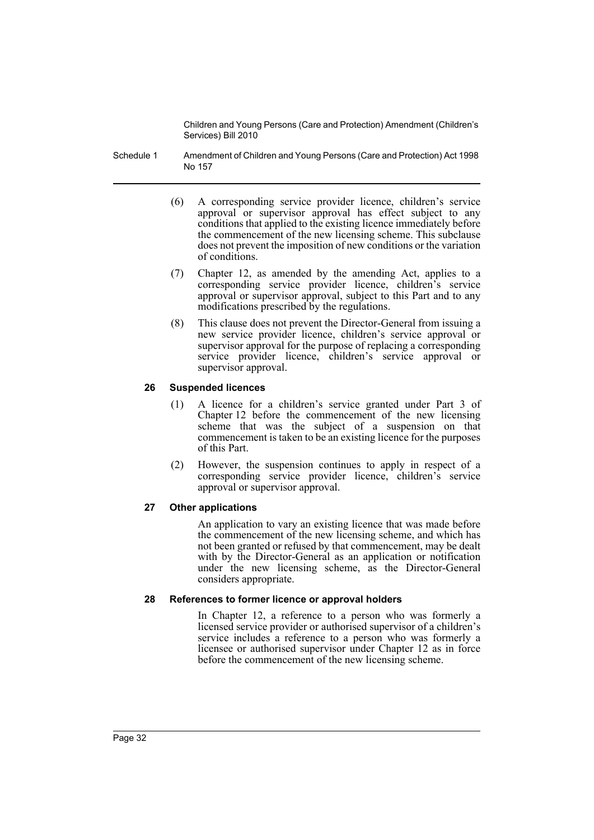- Schedule 1 Amendment of Children and Young Persons (Care and Protection) Act 1998 No 157
	- (6) A corresponding service provider licence, children's service approval or supervisor approval has effect subject to any conditions that applied to the existing licence immediately before the commencement of the new licensing scheme. This subclause does not prevent the imposition of new conditions or the variation of conditions.
	- (7) Chapter 12, as amended by the amending Act, applies to a corresponding service provider licence, children's service approval or supervisor approval, subject to this Part and to any modifications prescribed by the regulations.
	- (8) This clause does not prevent the Director-General from issuing a new service provider licence, children's service approval or supervisor approval for the purpose of replacing a corresponding service provider licence, children's service approval or supervisor approval.

# **26 Suspended licences**

- (1) A licence for a children's service granted under Part 3 of Chapter 12 before the commencement of the new licensing scheme that was the subject of a suspension on that commencement is taken to be an existing licence for the purposes of this Part.
- (2) However, the suspension continues to apply in respect of a corresponding service provider licence, children's service approval or supervisor approval.

# **27 Other applications**

An application to vary an existing licence that was made before the commencement of the new licensing scheme, and which has not been granted or refused by that commencement, may be dealt with by the Director-General as an application or notification under the new licensing scheme, as the Director-General considers appropriate.

# **28 References to former licence or approval holders**

In Chapter 12, a reference to a person who was formerly a licensed service provider or authorised supervisor of a children's service includes a reference to a person who was formerly a licensee or authorised supervisor under Chapter 12 as in force before the commencement of the new licensing scheme.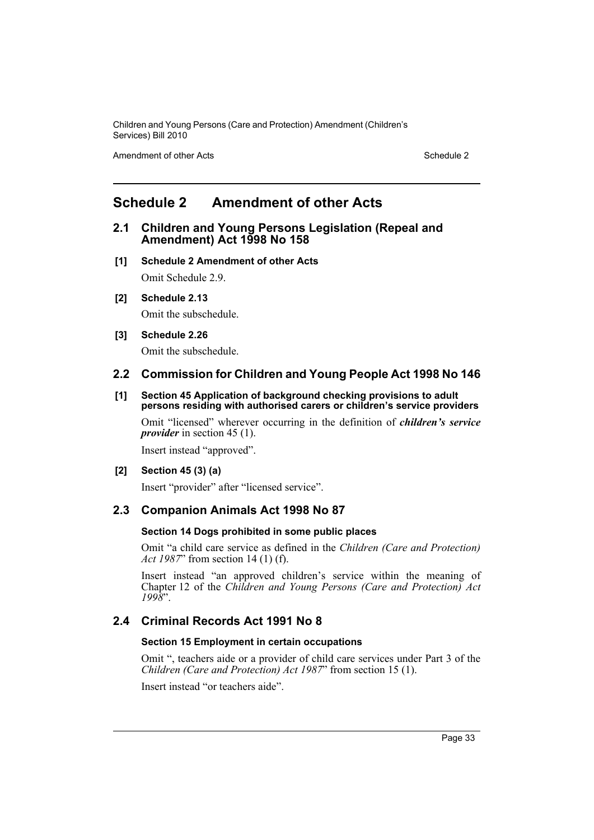Amendment of other Acts **Schedule 2** and the 2 and the 2 and 2 and 2 and 2 and 2 and 2 and 2 and 2 and 2 and 2 and 2 and 2 and 2 and 2 and 2 and 2 and 2 and 2 and 2 and 2 and 2 and 2 and 2 and 2 and 2 and 2 and 2 and 2 and

# <span id="page-34-0"></span>**Schedule 2 Amendment of other Acts**

# **2.1 Children and Young Persons Legislation (Repeal and Amendment) Act 1998 No 158**

- **[1] Schedule 2 Amendment of other Acts** Omit Schedule 2.9.
- **[2] Schedule 2.13**

Omit the subschedule.

# **[3] Schedule 2.26**

Omit the subschedule.

# **2.2 Commission for Children and Young People Act 1998 No 146**

#### **[1] Section 45 Application of background checking provisions to adult persons residing with authorised carers or children's service providers**

Omit "licensed" wherever occurring in the definition of *children's service provider* in section 45 (1).

Insert instead "approved".

# **[2] Section 45 (3) (a)**

Insert "provider" after "licensed service".

# **2.3 Companion Animals Act 1998 No 87**

# **Section 14 Dogs prohibited in some public places**

Omit "a child care service as defined in the *Children (Care and Protection) Act 1987*" from section 14 (1) (f).

Insert instead "an approved children's service within the meaning of Chapter 12 of the *Children and Young Persons (Care and Protection) Act 1998*".

# **2.4 Criminal Records Act 1991 No 8**

# **Section 15 Employment in certain occupations**

Omit ", teachers aide or a provider of child care services under Part 3 of the *Children (Care and Protection) Act 1987*" from section 15 (1).

Insert instead "or teachers aide".